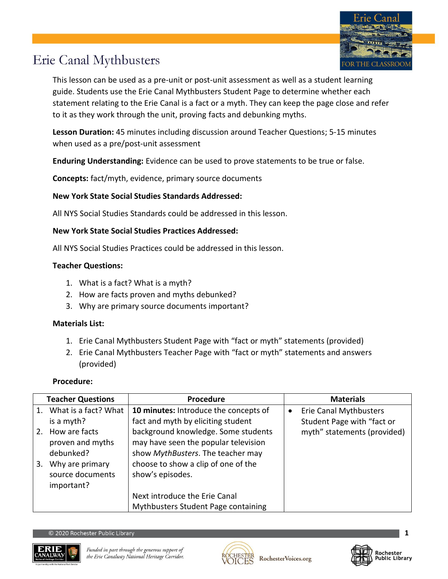

### Erie Canal Mythbusters

This lesson can be used as a pre-unit or post-unit assessment as well as a student learning guide. Students use the Erie Canal Mythbusters Student Page to determine whether each statement relating to the Erie Canal is a fact or a myth. They can keep the page close and refer to it as they work through the unit, proving facts and debunking myths.

**Lesson Duration:** 45 minutes including discussion around Teacher Questions; 5-15 minutes when used as a pre/post-unit assessment

**Enduring Understanding:** Evidence can be used to prove statements to be true or false.

**Concepts:** fact/myth, evidence, primary source documents

#### **New York State Social Studies Standards Addressed:**

All NYS Social Studies Standards could be addressed in this lesson.

#### **New York State Social Studies Practices Addressed:**

All NYS Social Studies Practices could be addressed in this lesson.

#### **Teacher Questions:**

- 1. What is a fact? What is a myth?
- 2. How are facts proven and myths debunked?
- 3. Why are primary source documents important?

#### **Materials List:**

- 1. Erie Canal Mythbusters Student Page with "fact or myth" statements (provided)
- 2. Erie Canal Mythbusters Teacher Page with "fact or myth" statements and answers (provided)

#### **Procedure:**

|    | <b>Teacher Questions</b> | Procedure                             |           | <b>Materials</b>              |
|----|--------------------------|---------------------------------------|-----------|-------------------------------|
|    | 1. What is a fact? What  | 10 minutes: Introduce the concepts of | $\bullet$ | <b>Erie Canal Mythbusters</b> |
|    | is a myth?               | fact and myth by eliciting student    |           | Student Page with "fact or    |
| 2. | How are facts            | background knowledge. Some students   |           | myth" statements (provided)   |
|    | proven and myths         | may have seen the popular television  |           |                               |
|    | debunked?                | show MythBusters. The teacher may     |           |                               |
| 3. | Why are primary          | choose to show a clip of one of the   |           |                               |
|    | source documents         | show's episodes.                      |           |                               |
|    | important?               |                                       |           |                               |
|    |                          | Next introduce the Erie Canal         |           |                               |
|    |                          | Mythbusters Student Page containing   |           |                               |





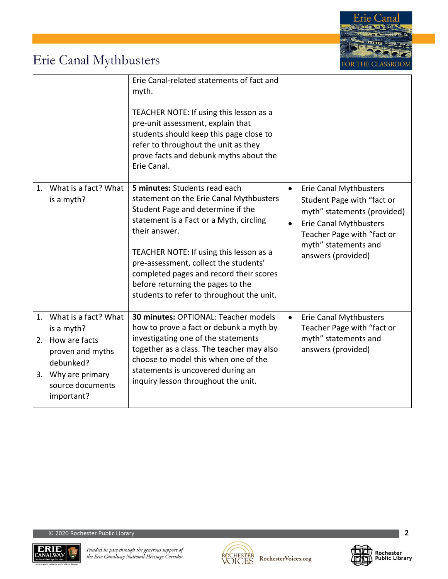

# Erie Canal Mythbusters

|    |                                                                                                                                                 | Erie Canal-related statements of fact and<br>myth.<br>TEACHER NOTE: If using this lesson as a<br>pre-unit assessment, explain that<br>students should keep this page close to<br>refer to throughout the unit as they<br>prove facts and debunk myths about the<br>Erie Canal.                                                                                                             |                                                                                                                                                                                                                            |
|----|-------------------------------------------------------------------------------------------------------------------------------------------------|--------------------------------------------------------------------------------------------------------------------------------------------------------------------------------------------------------------------------------------------------------------------------------------------------------------------------------------------------------------------------------------------|----------------------------------------------------------------------------------------------------------------------------------------------------------------------------------------------------------------------------|
|    | 1. What is a fact? What<br>is a myth?                                                                                                           | 5 minutes: Students read each<br>statement on the Erie Canal Mythbusters<br>Student Page and determine if the<br>statement is a Fact or a Myth, circling<br>their answer.<br>TEACHER NOTE: If using this lesson as a<br>pre-assessment, collect the students'<br>completed pages and record their scores<br>before returning the pages to the<br>students to refer to throughout the unit. | <b>Erie Canal Mythbusters</b><br>$\bullet$<br>Student Page with "fact or<br>myth" statements (provided)<br>Erie Canal Mythbusters<br>$\bullet$<br>Teacher Page with "fact or<br>myth" statements and<br>answers (provided) |
| 1. | What is a fact? What<br>is a myth?<br>2. How are facts<br>proven and myths<br>debunked?<br>3. Why are primary<br>source documents<br>important? | <b>30 minutes: OPTIONAL: Teacher models</b><br>how to prove a fact or debunk a myth by<br>investigating one of the statements<br>together as a class. The teacher may also<br>choose to model this when one of the<br>statements is uncovered during an<br>inquiry lesson throughout the unit.                                                                                             | Erie Canal Mythbusters<br>$\bullet$<br>Teacher Page with "fact or<br>myth" statements and<br>answers (provided)                                                                                                            |





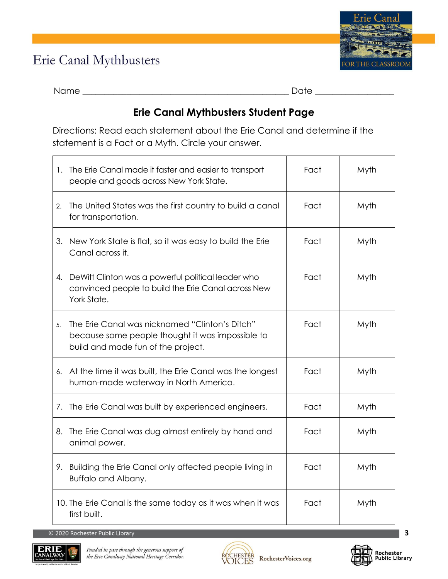## Erie Canal Mythbusters



Name \_\_\_\_\_\_\_\_\_\_\_\_\_\_\_\_\_\_\_\_\_\_\_\_\_\_\_\_\_\_\_\_\_\_\_\_\_\_\_\_\_\_\_\_\_\_\_ Date \_\_\_\_\_\_\_\_\_\_\_\_\_\_\_\_\_\_

### **Erie Canal Mythbusters Student Page**

Directions: Read each statement about the Erie Canal and determine if the statement is a Fact or a Myth. Circle your answer.

| 1.             | The Erie Canal made it faster and easier to transport<br>people and goods across New York State.                                         | Fact | Myth |
|----------------|------------------------------------------------------------------------------------------------------------------------------------------|------|------|
| 2.             | The United States was the first country to build a canal<br>for transportation.                                                          | Fact | Myth |
|                | 3. New York State is flat, so it was easy to build the Erie<br>Canal across it.                                                          | Fact | Myth |
|                | 4. DeWitt Clinton was a powerful political leader who<br>convinced people to build the Erie Canal across New<br>York State.              | Fact | Myth |
| 5 <sub>1</sub> | The Erie Canal was nicknamed "Clinton's Ditch"<br>because some people thought it was impossible to<br>build and made fun of the project. | Fact | Myth |
|                | 6. At the time it was built, the Erie Canal was the longest<br>human-made waterway in North America.                                     | Fact | Myth |
|                | 7. The Erie Canal was built by experienced engineers.                                                                                    | Fact | Myth |
| 8.             | The Erie Canal was dug almost entirely by hand and<br>animal power.                                                                      | Fact | Myth |
| 9.             | Building the Erie Canal only affected people living in<br>Buffalo and Albany.                                                            | Fact | Myth |
|                | 10. The Erie Canal is the same today as it was when it was<br>first built.                                                               | Fact | Myth |

© 2020 Rochester Public Library